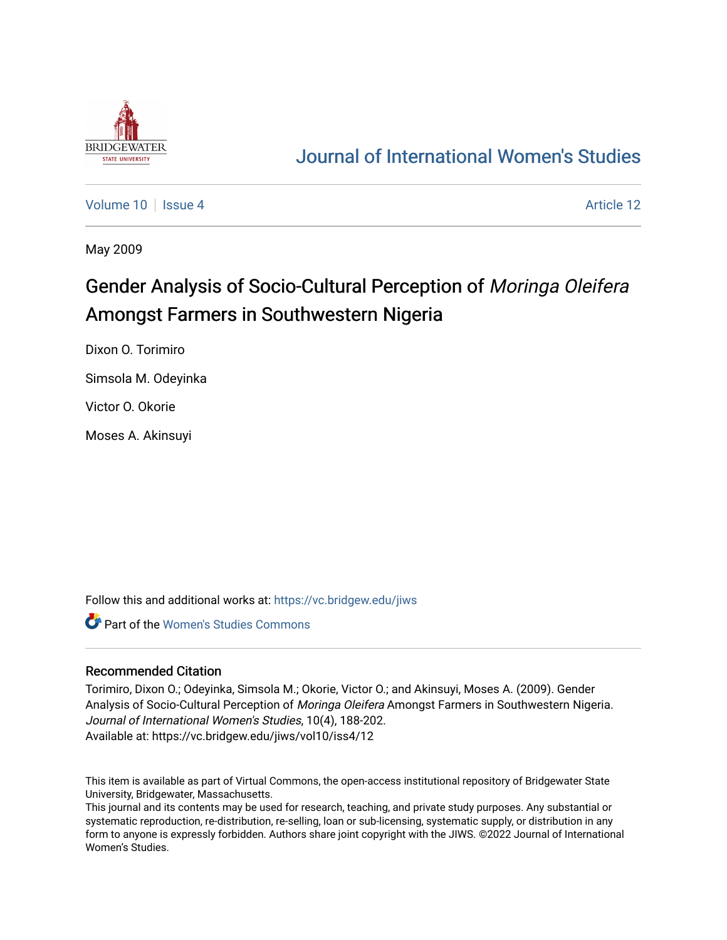

## [Journal of International Women's Studies](https://vc.bridgew.edu/jiws)

[Volume 10](https://vc.bridgew.edu/jiws/vol10) | [Issue 4](https://vc.bridgew.edu/jiws/vol10/iss4) Article 12

May 2009

# Gender Analysis of Socio-Cultural Perception of Moringa Oleifera Amongst Farmers in Southwestern Nigeria

Dixon O. Torimiro

Simsola M. Odeyinka

Victor O. Okorie

Moses A. Akinsuyi

Follow this and additional works at: [https://vc.bridgew.edu/jiws](https://vc.bridgew.edu/jiws?utm_source=vc.bridgew.edu%2Fjiws%2Fvol10%2Fiss4%2F12&utm_medium=PDF&utm_campaign=PDFCoverPages)

**Part of the Women's Studies Commons** 

#### Recommended Citation

Torimiro, Dixon O.; Odeyinka, Simsola M.; Okorie, Victor O.; and Akinsuyi, Moses A. (2009). Gender Analysis of Socio-Cultural Perception of Moringa Oleifera Amongst Farmers in Southwestern Nigeria. Journal of International Women's Studies, 10(4), 188-202. Available at: https://vc.bridgew.edu/jiws/vol10/iss4/12

This item is available as part of Virtual Commons, the open-access institutional repository of Bridgewater State University, Bridgewater, Massachusetts.

This journal and its contents may be used for research, teaching, and private study purposes. Any substantial or systematic reproduction, re-distribution, re-selling, loan or sub-licensing, systematic supply, or distribution in any form to anyone is expressly forbidden. Authors share joint copyright with the JIWS. ©2022 Journal of International Women's Studies.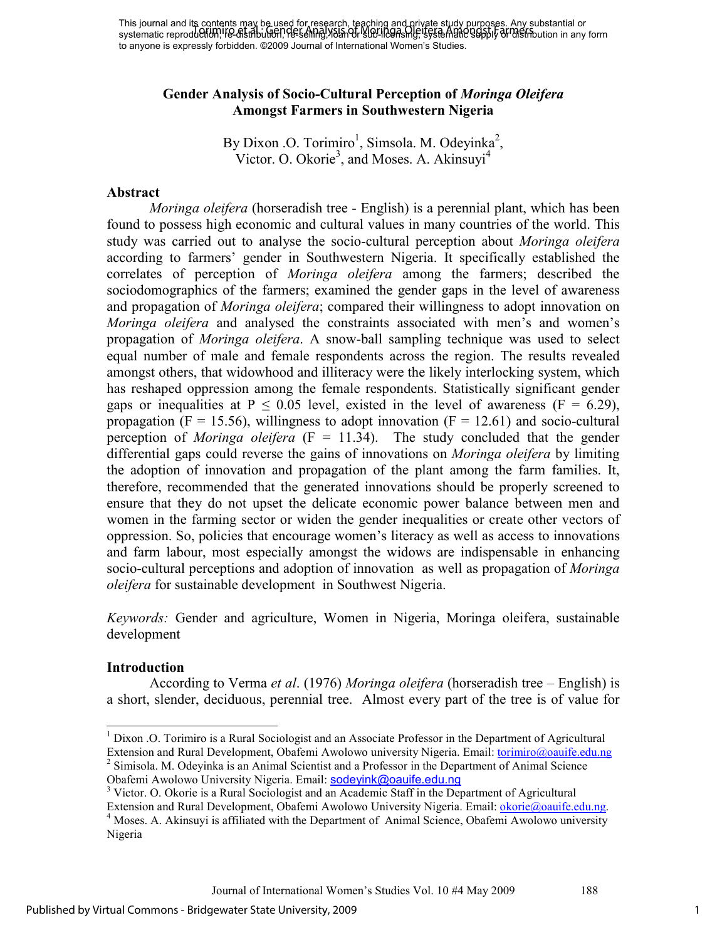This journal and its contents may be used for research, teaching and private study purposes. Any substantial or This journal and the commissing, because for reservoir, the mining and directly supply or distribution in any form<br>systematic reproduction, IFe-distribution, He-selling, Yalandr Supplied as Mg; the Among Supply or distribu to anyone is expressly forbidden. ©2009 Journal of International Women's Studies.

#### **Gender Analysis of Socio-Cultural Perception of** *Moringa Oleifera*  **Amongst Farmers in Southwestern Nigeria**

By Dixon .O. Torimiro<sup>1</sup>, Simsola. M. Odeyinka<sup>2</sup>, Victor. O. Okorie<sup>3</sup>, and Moses. A. Akinsuyi<sup>4</sup>

#### **Abstract**

*Moringa oleifera* (horseradish tree - English) is a perennial plant, which has been found to possess high economic and cultural values in many countries of the world. This study was carried out to analyse the socio-cultural perception about *Moringa oleifera* according to farmers' gender in Southwestern Nigeria. It specifically established the correlates of perception of *Moringa oleifera* among the farmers; described the sociodomographics of the farmers; examined the gender gaps in the level of awareness and propagation of *Moringa oleifera*; compared their willingness to adopt innovation on *Moringa oleifera* and analysed the constraints associated with men's and women's propagation of *Moringa oleifera*. A snow-ball sampling technique was used to select equal number of male and female respondents across the region. The results revealed amongst others, that widowhood and illiteracy were the likely interlocking system, which has reshaped oppression among the female respondents. Statistically significant gender gaps or inequalities at  $P \le 0.05$  level, existed in the level of awareness (F = 6.29), propagation ( $F = 15.56$ ), willingness to adopt innovation ( $F = 12.61$ ) and socio-cultural perception of *Moringa oleifera*  $(F = 11.34)$ . The study concluded that the gender differential gaps could reverse the gains of innovations on *Moringa oleifera* by limiting the adoption of innovation and propagation of the plant among the farm families. It, therefore, recommended that the generated innovations should be properly screened to ensure that they do not upset the delicate economic power balance between men and women in the farming sector or widen the gender inequalities or create other vectors of oppression. So, policies that encourage women's literacy as well as access to innovations and farm labour, most especially amongst the widows are indispensable in enhancing socio-cultural perceptions and adoption of innovation as well as propagation of *Moringa oleifera* for sustainable development in Southwest Nigeria.

*Keywords:* Gender and agriculture, Women in Nigeria, Moringa oleifera, sustainable development

#### **Introduction**

According to Verma *et al*. (1976) *Moringa oleifera* (horseradish tree – English) is a short, slender, deciduous, perennial tree. Almost every part of the tree is of value for

 $\overline{a}$ <sup>1</sup> Dixon .O. Torimiro is a Rural Sociologist and an Associate Professor in the Department of Agricultural Extension and Rural Development, Obafemi Awolowo university Nigeria. Email: torimiro@oauife.edu.ng <sup>2</sup> Simisola. M. Odeyinka is an Animal Scientist and a Professor in the Department of Animal Science Obafemi Awolowo University Nigeria. Email: sodeyink@oauife.edu.ng

<sup>&</sup>lt;sup>3</sup> Victor. O. Okorie is a Rural Sociologist and an Academic Staff in the Department of Agricultural

Extension and Rural Development, Obafemi Awolowo University Nigeria. Email: okorie@oauife.edu.ng. <sup>4</sup> Moses. A. Akinsuyi is affiliated with the Department of Animal Science, Obafemi Awolowo university Nigeria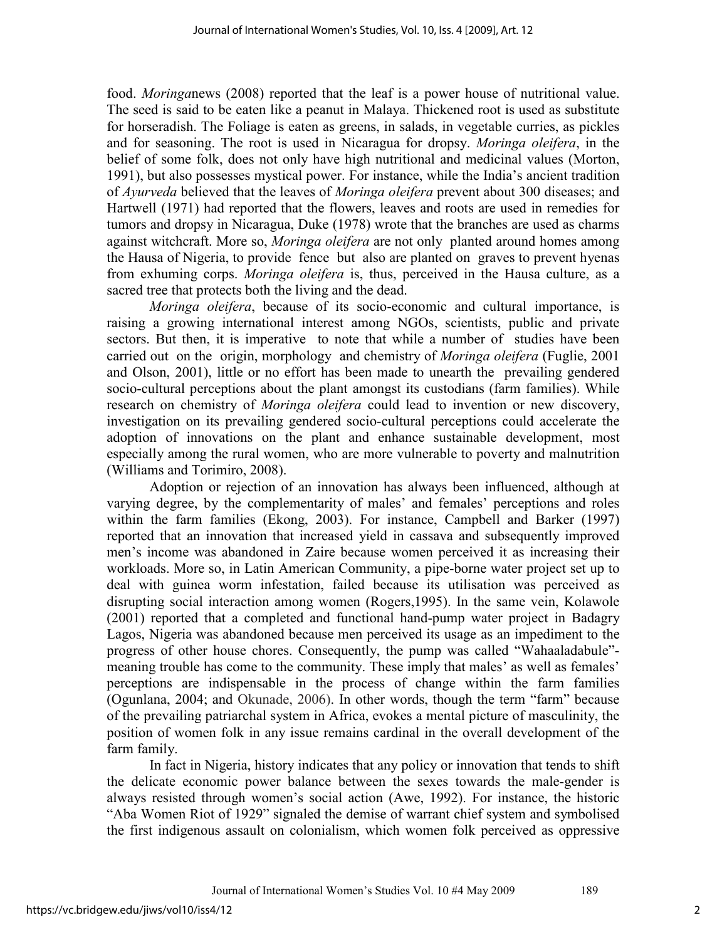food. *Moringa*news (2008) reported that the leaf is a power house of nutritional value. The seed is said to be eaten like a peanut in Malaya. Thickened root is used as substitute for horseradish. The Foliage is eaten as greens, in salads, in vegetable curries, as pickles and for seasoning. The root is used in Nicaragua for dropsy. *Moringa oleifera*, in the belief of some folk, does not only have high nutritional and medicinal values (Morton, 1991), but also possesses mystical power. For instance, while the India's ancient tradition of *Ayurveda* believed that the leaves of *Moringa oleifera* prevent about 300 diseases; and Hartwell (1971) had reported that the flowers, leaves and roots are used in remedies for tumors and dropsy in Nicaragua, Duke (1978) wrote that the branches are used as charms against witchcraft. More so, *Moringa oleifera* are not only planted around homes among the Hausa of Nigeria, to provide fence but also are planted on graves to prevent hyenas from exhuming corps. *Moringa oleifera* is, thus, perceived in the Hausa culture, as a sacred tree that protects both the living and the dead.

*Moringa oleifera*, because of its socio-economic and cultural importance, is raising a growing international interest among NGOs, scientists, public and private sectors. But then, it is imperative to note that while a number of studies have been carried out on the origin, morphology and chemistry of *Moringa oleifera* (Fuglie, 2001 and Olson, 2001), little or no effort has been made to unearth the prevailing gendered socio-cultural perceptions about the plant amongst its custodians (farm families). While research on chemistry of *Moringa oleifera* could lead to invention or new discovery, investigation on its prevailing gendered socio-cultural perceptions could accelerate the adoption of innovations on the plant and enhance sustainable development, most especially among the rural women, who are more vulnerable to poverty and malnutrition (Williams and Torimiro, 2008).

Adoption or rejection of an innovation has always been influenced, although at varying degree, by the complementarity of males' and females' perceptions and roles within the farm families (Ekong, 2003). For instance, Campbell and Barker (1997) reported that an innovation that increased yield in cassava and subsequently improved men's income was abandoned in Zaire because women perceived it as increasing their workloads. More so, in Latin American Community, a pipe-borne water project set up to deal with guinea worm infestation, failed because its utilisation was perceived as disrupting social interaction among women (Rogers,1995). In the same vein, Kolawole (2001) reported that a completed and functional hand-pump water project in Badagry Lagos, Nigeria was abandoned because men perceived its usage as an impediment to the progress of other house chores. Consequently, the pump was called "Wahaaladabule" meaning trouble has come to the community. These imply that males' as well as females' perceptions are indispensable in the process of change within the farm families (Ogunlana, 2004; and Okunade, 2006). In other words, though the term "farm" because of the prevailing patriarchal system in Africa, evokes a mental picture of masculinity, the position of women folk in any issue remains cardinal in the overall development of the farm family.

In fact in Nigeria, history indicates that any policy or innovation that tends to shift the delicate economic power balance between the sexes towards the male-gender is always resisted through women's social action (Awe, 1992). For instance, the historic "Aba Women Riot of 1929" signaled the demise of warrant chief system and symbolised the first indigenous assault on colonialism, which women folk perceived as oppressive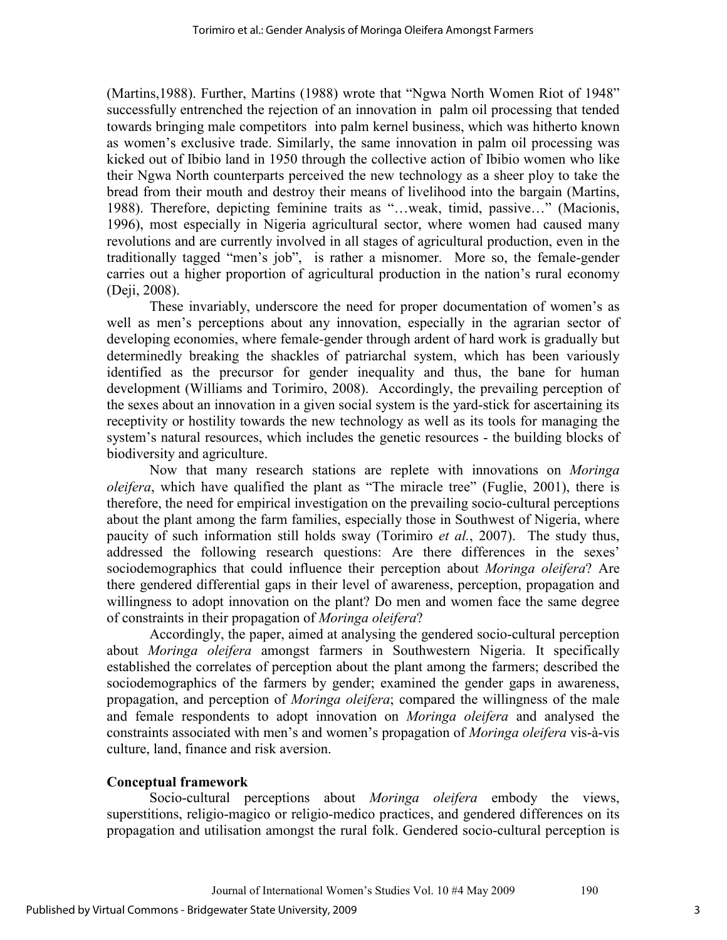(Martins,1988). Further, Martins (1988) wrote that "Ngwa North Women Riot of 1948" successfully entrenched the rejection of an innovation in palm oil processing that tended towards bringing male competitors into palm kernel business, which was hitherto known as women's exclusive trade. Similarly, the same innovation in palm oil processing was kicked out of Ibibio land in 1950 through the collective action of Ibibio women who like their Ngwa North counterparts perceived the new technology as a sheer ploy to take the bread from their mouth and destroy their means of livelihood into the bargain (Martins, 1988). Therefore, depicting feminine traits as "…weak, timid, passive…" (Macionis, 1996), most especially in Nigeria agricultural sector, where women had caused many revolutions and are currently involved in all stages of agricultural production, even in the traditionally tagged "men's job", is rather a misnomer. More so, the female-gender carries out a higher proportion of agricultural production in the nation's rural economy (Deji, 2008).

These invariably, underscore the need for proper documentation of women's as well as men's perceptions about any innovation, especially in the agrarian sector of developing economies, where female-gender through ardent of hard work is gradually but determinedly breaking the shackles of patriarchal system, which has been variously identified as the precursor for gender inequality and thus, the bane for human development (Williams and Torimiro, 2008). Accordingly, the prevailing perception of the sexes about an innovation in a given social system is the yard-stick for ascertaining its receptivity or hostility towards the new technology as well as its tools for managing the system's natural resources, which includes the genetic resources - the building blocks of biodiversity and agriculture.

Now that many research stations are replete with innovations on *Moringa oleifera*, which have qualified the plant as "The miracle tree" (Fuglie, 2001), there is therefore, the need for empirical investigation on the prevailing socio-cultural perceptions about the plant among the farm families, especially those in Southwest of Nigeria, where paucity of such information still holds sway (Torimiro *et al.*, 2007). The study thus, addressed the following research questions: Are there differences in the sexes' sociodemographics that could influence their perception about *Moringa oleifera*? Are there gendered differential gaps in their level of awareness, perception, propagation and willingness to adopt innovation on the plant? Do men and women face the same degree of constraints in their propagation of *Moringa oleifera*?

Accordingly, the paper, aimed at analysing the gendered socio-cultural perception about *Moringa oleifera* amongst farmers in Southwestern Nigeria. It specifically established the correlates of perception about the plant among the farmers; described the sociodemographics of the farmers by gender; examined the gender gaps in awareness, propagation, and perception of *Moringa oleifera*; compared the willingness of the male and female respondents to adopt innovation on *Moringa oleifera* and analysed the constraints associated with men's and women's propagation of *Moringa oleifera* vis-à-vis culture, land, finance and risk aversion.

#### **Conceptual framework**

Socio-cultural perceptions about *Moringa oleifera* embody the views, superstitions, religio-magico or religio-medico practices, and gendered differences on its propagation and utilisation amongst the rural folk. Gendered socio-cultural perception is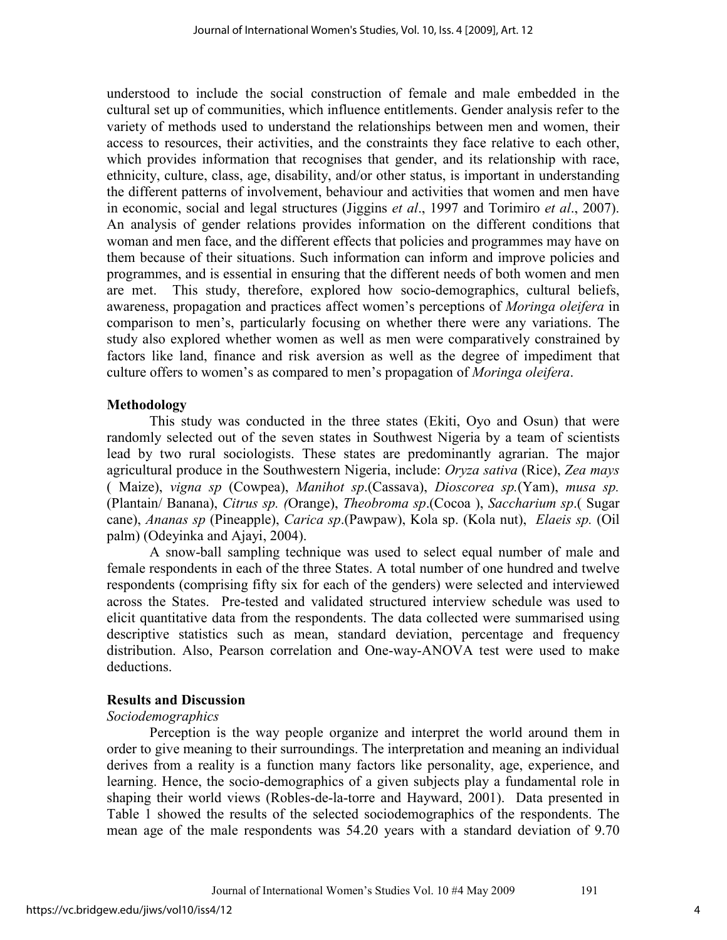understood to include the social construction of female and male embedded in the cultural set up of communities, which influence entitlements. Gender analysis refer to the variety of methods used to understand the relationships between men and women, their access to resources, their activities, and the constraints they face relative to each other, which provides information that recognises that gender, and its relationship with race, ethnicity, culture, class, age, disability, and/or other status, is important in understanding the different patterns of involvement, behaviour and activities that women and men have in economic, social and legal structures (Jiggins *et al*., 1997 and Torimiro *et al*., 2007). An analysis of gender relations provides information on the different conditions that woman and men face, and the different effects that policies and programmes may have on them because of their situations. Such information can inform and improve policies and programmes, and is essential in ensuring that the different needs of both women and men are met. This study, therefore, explored how socio-demographics, cultural beliefs, awareness, propagation and practices affect women's perceptions of *Moringa oleifera* in comparison to men's, particularly focusing on whether there were any variations. The study also explored whether women as well as men were comparatively constrained by factors like land, finance and risk aversion as well as the degree of impediment that culture offers to women's as compared to men's propagation of *Moringa oleifera*.

## **Methodology**

This study was conducted in the three states (Ekiti, Oyo and Osun) that were randomly selected out of the seven states in Southwest Nigeria by a team of scientists lead by two rural sociologists. These states are predominantly agrarian. The major agricultural produce in the Southwestern Nigeria, include: *Oryza sativa* (Rice), *Zea mays* ( Maize), *vigna sp* (Cowpea), *Manihot sp*.(Cassava), *Dioscorea sp.*(Yam), *musa sp.* (Plantain/ Banana), *Citrus sp. (*Orange), *Theobroma sp*.(Cocoa ), *Saccharium sp*.( Sugar cane), *Ananas sp* (Pineapple), *Carica sp*.(Pawpaw), Kola sp. (Kola nut), *Elaeis sp.* (Oil palm) (Odeyinka and Ajayi, 2004).

A snow-ball sampling technique was used to select equal number of male and female respondents in each of the three States. A total number of one hundred and twelve respondents (comprising fifty six for each of the genders) were selected and interviewed across the States. Pre-tested and validated structured interview schedule was used to elicit quantitative data from the respondents. The data collected were summarised using descriptive statistics such as mean, standard deviation, percentage and frequency distribution. Also, Pearson correlation and One-way-ANOVA test were used to make deductions.

## **Results and Discussion**

## *Sociodemographics*

Perception is the way people organize and interpret the world around them in order to give meaning to their surroundings. The interpretation and meaning an individual derives from a reality is a function many factors like personality, age, experience, and learning. Hence, the socio-demographics of a given subjects play a fundamental role in shaping their world views (Robles-de-la-torre and Hayward, 2001). Data presented in Table 1 showed the results of the selected sociodemographics of the respondents. The mean age of the male respondents was 54.20 years with a standard deviation of 9.70

4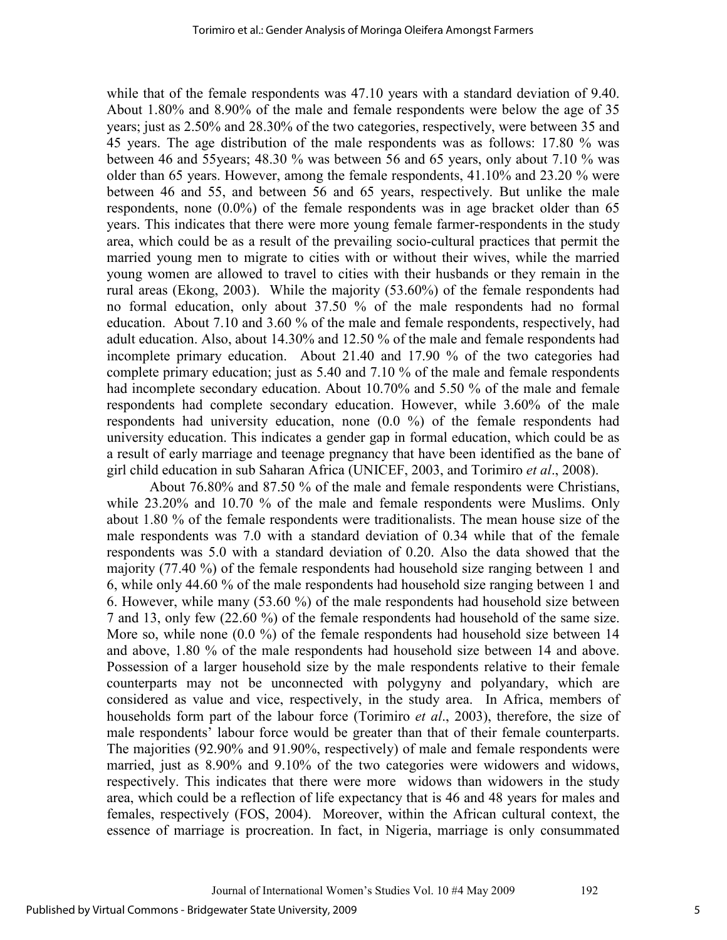while that of the female respondents was 47.10 years with a standard deviation of 9.40. About 1.80% and 8.90% of the male and female respondents were below the age of 35 years; just as 2.50% and 28.30% of the two categories, respectively, were between 35 and 45 years. The age distribution of the male respondents was as follows: 17.80 % was between 46 and 55years; 48.30 % was between 56 and 65 years, only about 7.10 % was older than 65 years. However, among the female respondents, 41.10% and 23.20 % were between 46 and 55, and between 56 and 65 years, respectively. But unlike the male respondents, none (0.0%) of the female respondents was in age bracket older than 65 years. This indicates that there were more young female farmer-respondents in the study area, which could be as a result of the prevailing socio-cultural practices that permit the married young men to migrate to cities with or without their wives, while the married young women are allowed to travel to cities with their husbands or they remain in the rural areas (Ekong, 2003). While the majority (53.60%) of the female respondents had no formal education, only about 37.50 % of the male respondents had no formal education. About 7.10 and 3.60 % of the male and female respondents, respectively, had adult education. Also, about 14.30% and 12.50 % of the male and female respondents had incomplete primary education. About 21.40 and 17.90 % of the two categories had complete primary education; just as 5.40 and 7.10 % of the male and female respondents had incomplete secondary education. About 10.70% and 5.50 % of the male and female respondents had complete secondary education. However, while 3.60% of the male respondents had university education, none (0.0 %) of the female respondents had university education. This indicates a gender gap in formal education, which could be as a result of early marriage and teenage pregnancy that have been identified as the bane of girl child education in sub Saharan Africa (UNICEF, 2003, and Torimiro *et al*., 2008).

About 76.80% and 87.50 % of the male and female respondents were Christians, while 23.20% and 10.70 % of the male and female respondents were Muslims. Only about 1.80 % of the female respondents were traditionalists. The mean house size of the male respondents was 7.0 with a standard deviation of 0.34 while that of the female respondents was 5.0 with a standard deviation of 0.20. Also the data showed that the majority (77.40 %) of the female respondents had household size ranging between 1 and 6, while only 44.60 % of the male respondents had household size ranging between 1 and 6. However, while many (53.60 %) of the male respondents had household size between 7 and 13, only few (22.60 %) of the female respondents had household of the same size. More so, while none  $(0.0 \%)$  of the female respondents had household size between 14 and above, 1.80 % of the male respondents had household size between 14 and above. Possession of a larger household size by the male respondents relative to their female counterparts may not be unconnected with polygyny and polyandary, which are considered as value and vice, respectively, in the study area. In Africa, members of households form part of the labour force (Torimiro *et al*., 2003), therefore, the size of male respondents' labour force would be greater than that of their female counterparts. The majorities (92.90% and 91.90%, respectively) of male and female respondents were married, just as 8.90% and 9.10% of the two categories were widowers and widows, respectively. This indicates that there were more widows than widowers in the study area, which could be a reflection of life expectancy that is 46 and 48 years for males and females, respectively (FOS, 2004). Moreover, within the African cultural context, the essence of marriage is procreation. In fact, in Nigeria, marriage is only consummated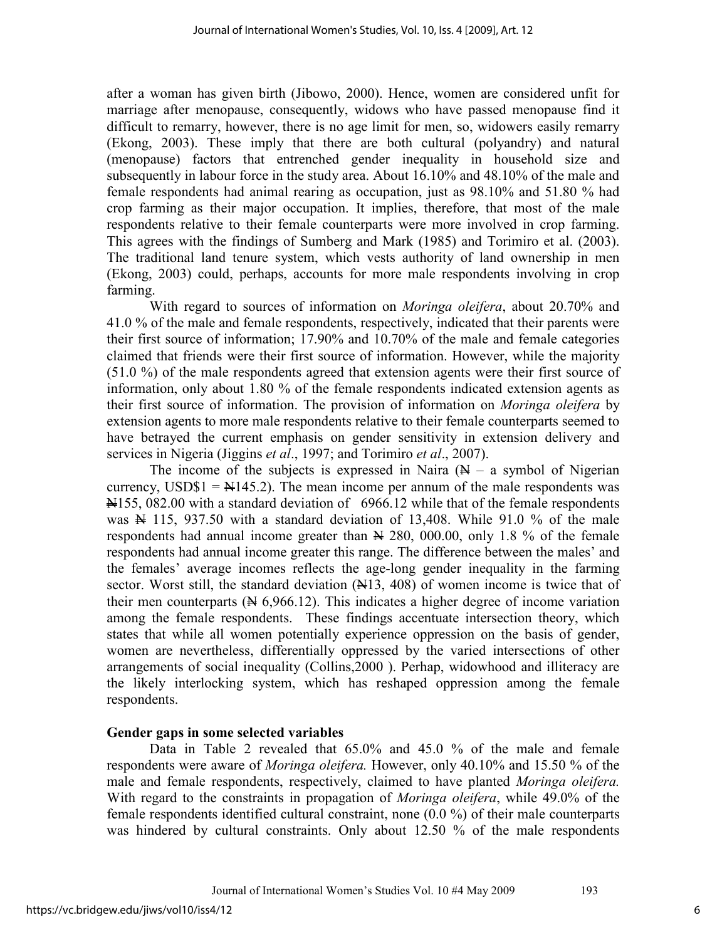after a woman has given birth (Jibowo, 2000). Hence, women are considered unfit for marriage after menopause, consequently, widows who have passed menopause find it difficult to remarry, however, there is no age limit for men, so, widowers easily remarry (Ekong, 2003). These imply that there are both cultural (polyandry) and natural (menopause) factors that entrenched gender inequality in household size and subsequently in labour force in the study area. About 16.10% and 48.10% of the male and female respondents had animal rearing as occupation, just as 98.10% and 51.80 % had crop farming as their major occupation. It implies, therefore, that most of the male respondents relative to their female counterparts were more involved in crop farming. This agrees with the findings of Sumberg and Mark (1985) and Torimiro et al. (2003). The traditional land tenure system, which vests authority of land ownership in men (Ekong, 2003) could, perhaps, accounts for more male respondents involving in crop farming.

With regard to sources of information on *Moringa oleifera*, about 20.70% and 41.0 % of the male and female respondents, respectively, indicated that their parents were their first source of information; 17.90% and 10.70% of the male and female categories claimed that friends were their first source of information. However, while the majority (51.0 %) of the male respondents agreed that extension agents were their first source of information, only about 1.80 % of the female respondents indicated extension agents as their first source of information. The provision of information on *Moringa oleifera* by extension agents to more male respondents relative to their female counterparts seemed to have betrayed the current emphasis on gender sensitivity in extension delivery and services in Nigeria (Jiggins *et al*., 1997; and Torimiro *et al*., 2007).

The income of the subjects is expressed in Naira  $(A - a)$  symbol of Nigerian currency, USD\$1 =  $\frac{N}{4}$ 145.2). The mean income per annum of the male respondents was  $\overline{N}$ 155, 082.00 with a standard deviation of 6966.12 while that of the female respondents was  $\overline{N}$  115, 937.50 with a standard deviation of 13,408. While 91.0 % of the male respondents had annual income greater than  $\cancel{ }$  4 280, 000.00, only 1.8 % of the female respondents had annual income greater this range. The difference between the males' and the females' average incomes reflects the age-long gender inequality in the farming sector. Worst still, the standard deviation  $(\frac{N}{13}, 408)$  of women income is twice that of their men counterparts  $(A \mid 6, 966.12)$ . This indicates a higher degree of income variation among the female respondents. These findings accentuate intersection theory, which states that while all women potentially experience oppression on the basis of gender, women are nevertheless, differentially oppressed by the varied intersections of other arrangements of social inequality (Collins,2000 ). Perhap, widowhood and illiteracy are the likely interlocking system, which has reshaped oppression among the female respondents.

## **Gender gaps in some selected variables**

Data in Table 2 revealed that 65.0% and 45.0 % of the male and female respondents were aware of *Moringa oleifera.* However, only 40.10% and 15.50 % of the male and female respondents, respectively, claimed to have planted *Moringa oleifera.*  With regard to the constraints in propagation of *Moringa oleifera*, while 49.0% of the female respondents identified cultural constraint, none (0.0 %) of their male counterparts was hindered by cultural constraints. Only about 12.50 % of the male respondents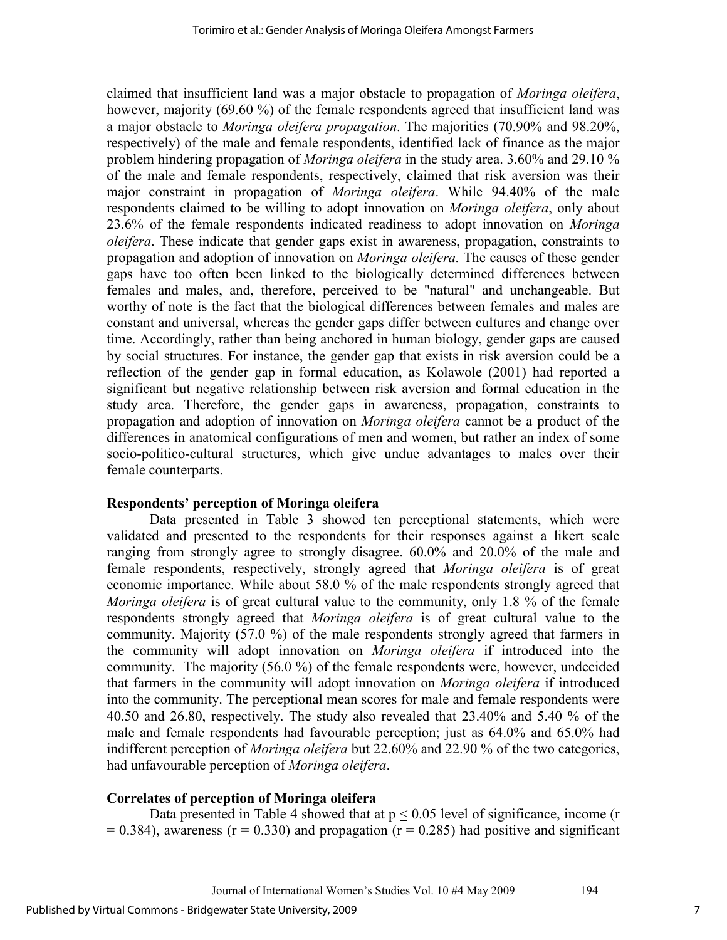claimed that insufficient land was a major obstacle to propagation of *Moringa oleifera*, however, majority (69.60 %) of the female respondents agreed that insufficient land was a major obstacle to *Moringa oleifera propagation*. The majorities (70.90% and 98.20%, respectively) of the male and female respondents, identified lack of finance as the major problem hindering propagation of *Moringa oleifera* in the study area. 3.60% and 29.10 % of the male and female respondents, respectively, claimed that risk aversion was their major constraint in propagation of *Moringa oleifera*. While 94.40% of the male respondents claimed to be willing to adopt innovation on *Moringa oleifera*, only about 23.6% of the female respondents indicated readiness to adopt innovation on *Moringa oleifera*. These indicate that gender gaps exist in awareness, propagation, constraints to propagation and adoption of innovation on *Moringa oleifera.* The causes of these gender gaps have too often been linked to the biologically determined differences between females and males, and, therefore, perceived to be "natural" and unchangeable. But worthy of note is the fact that the biological differences between females and males are constant and universal, whereas the gender gaps differ between cultures and change over time. Accordingly, rather than being anchored in human biology, gender gaps are caused by social structures. For instance, the gender gap that exists in risk aversion could be a reflection of the gender gap in formal education, as Kolawole (2001) had reported a significant but negative relationship between risk aversion and formal education in the study area. Therefore, the gender gaps in awareness, propagation, constraints to propagation and adoption of innovation on *Moringa oleifera* cannot be a product of the differences in anatomical configurations of men and women, but rather an index of some socio-politico-cultural structures, which give undue advantages to males over their female counterparts.

## **Respondents' perception of Moringa oleifera**

Data presented in Table 3 showed ten perceptional statements, which were validated and presented to the respondents for their responses against a likert scale ranging from strongly agree to strongly disagree. 60.0% and 20.0% of the male and female respondents, respectively, strongly agreed that *Moringa oleifera* is of great economic importance. While about 58.0 % of the male respondents strongly agreed that *Moringa oleifera* is of great cultural value to the community, only 1.8 % of the female respondents strongly agreed that *Moringa oleifera* is of great cultural value to the community. Majority (57.0 %) of the male respondents strongly agreed that farmers in the community will adopt innovation on *Moringa oleifera* if introduced into the community. The majority (56.0 %) of the female respondents were, however, undecided that farmers in the community will adopt innovation on *Moringa oleifera* if introduced into the community. The perceptional mean scores for male and female respondents were 40.50 and 26.80, respectively. The study also revealed that 23.40% and 5.40 % of the male and female respondents had favourable perception; just as 64.0% and 65.0% had indifferent perception of *Moringa oleifera* but 22.60% and 22.90 % of the two categories, had unfavourable perception of *Moringa oleifera*.

## **Correlates of perception of Moringa oleifera**

Data presented in Table 4 showed that at  $p < 0.05$  level of significance, income (r  $= 0.384$ ), awareness (r = 0.330) and propagation (r = 0.285) had positive and significant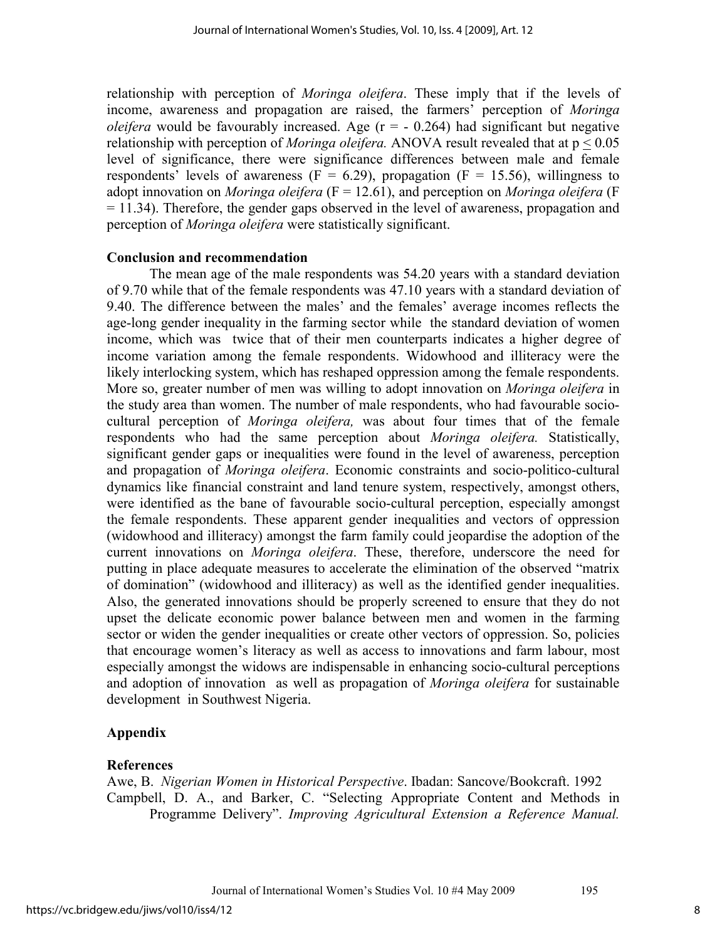relationship with perception of *Moringa oleifera*. These imply that if the levels of income, awareness and propagation are raised, the farmers' perception of *Moringa oleifera* would be favourably increased. Age  $(r = -0.264)$  had significant but negative relationship with perception of *Moringa oleifera.* ANOVA result revealed that at p < 0.05 level of significance, there were significance differences between male and female respondents' levels of awareness ( $F = 6.29$ ), propagation ( $F = 15.56$ ), willingness to adopt innovation on *Moringa oleifera* (F = 12.61), and perception on *Moringa oleifera* (F = 11.34). Therefore, the gender gaps observed in the level of awareness, propagation and perception of *Moringa oleifera* were statistically significant.

#### **Conclusion and recommendation**

The mean age of the male respondents was 54.20 years with a standard deviation of 9.70 while that of the female respondents was 47.10 years with a standard deviation of 9.40. The difference between the males' and the females' average incomes reflects the age-long gender inequality in the farming sector while the standard deviation of women income, which was twice that of their men counterparts indicates a higher degree of income variation among the female respondents. Widowhood and illiteracy were the likely interlocking system, which has reshaped oppression among the female respondents. More so, greater number of men was willing to adopt innovation on *Moringa oleifera* in the study area than women. The number of male respondents, who had favourable sociocultural perception of *Moringa oleifera,* was about four times that of the female respondents who had the same perception about *Moringa oleifera.* Statistically, significant gender gaps or inequalities were found in the level of awareness, perception and propagation of *Moringa oleifera*. Economic constraints and socio-politico-cultural dynamics like financial constraint and land tenure system, respectively, amongst others, were identified as the bane of favourable socio-cultural perception, especially amongst the female respondents. These apparent gender inequalities and vectors of oppression (widowhood and illiteracy) amongst the farm family could jeopardise the adoption of the current innovations on *Moringa oleifera*. These, therefore, underscore the need for putting in place adequate measures to accelerate the elimination of the observed "matrix of domination" (widowhood and illiteracy) as well as the identified gender inequalities. Also, the generated innovations should be properly screened to ensure that they do not upset the delicate economic power balance between men and women in the farming sector or widen the gender inequalities or create other vectors of oppression. So, policies that encourage women's literacy as well as access to innovations and farm labour, most especially amongst the widows are indispensable in enhancing socio-cultural perceptions and adoption of innovation as well as propagation of *Moringa oleifera* for sustainable development in Southwest Nigeria.

## **Appendix**

## **References**

Awe, B. *Nigerian Women in Historical Perspective*. Ibadan: Sancove/Bookcraft. 1992 Campbell, D. A., and Barker, C. "Selecting Appropriate Content and Methods in Programme Delivery". *Improving Agricultural Extension a Reference Manual.*

Journal of International Women's Studies Vol. 10 #4 May 2009 195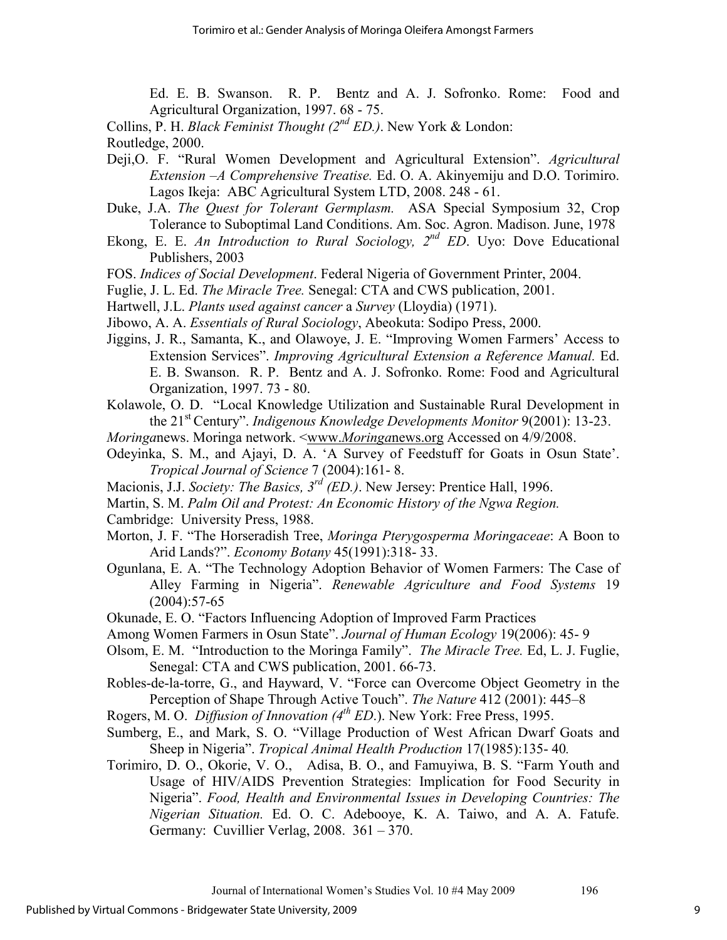Ed. E. B. Swanson. R. P. Bentz and A. J. Sofronko. Rome: Food and Agricultural Organization, 1997. 68 - 75.

Collins, P. H. *Black Feminist Thought (2nd ED.)*. New York & London: Routledge, 2000.

- Deji,O. F. "Rural Women Development and Agricultural Extension". *Agricultural Extension –A Comprehensive Treatise.* Ed. O. A. Akinyemiju and D.O. Torimiro. Lagos Ikeja: ABC Agricultural System LTD, 2008. 248 - 61.
- Duke, J.A. *The Quest for Tolerant Germplasm.* ASA Special Symposium 32, Crop Tolerance to Suboptimal Land Conditions. Am. Soc. Agron. Madison. June, 1978
- Ekong, E. E. *An Introduction to Rural Sociology, 2nd ED*. Uyo: Dove Educational Publishers, 2003
- FOS. *Indices of Social Development*. Federal Nigeria of Government Printer, 2004.
- Fuglie, J. L. Ed. *The Miracle Tree.* Senegal: CTA and CWS publication, 2001.
- Hartwell, J.L. *Plants used against cancer* a *Survey* (Lloydia) (1971).
- Jibowo, A. A. *Essentials of Rural Sociology*, Abeokuta: Sodipo Press, 2000.
- Jiggins, J. R., Samanta, K., and Olawoye, J. E. "Improving Women Farmers' Access to Extension Services". *Improving Agricultural Extension a Reference Manual.* Ed. E. B. Swanson. R. P. Bentz and A. J. Sofronko. Rome: Food and Agricultural Organization, 1997. 73 - 80.
- Kolawole, O. D. "Local Knowledge Utilization and Sustainable Rural Development in the 21st Century". *Indigenous Knowledge Developments Monitor* 9(2001): 13-23.
- *Moringa*news. Moringa network. <www.*Moringa*news.org Accessed on 4/9/2008.
- Odeyinka, S. M., and Ajayi, D. A. 'A Survey of Feedstuff for Goats in Osun State'. *Tropical Journal of Science* 7 (2004):161- 8.
- Macionis, J.J. *Society: The Basics, 3rd (ED.)*. New Jersey: Prentice Hall, 1996.
- Martin, S. M. *Palm Oil and Protest: An Economic History of the Ngwa Region.*
- Cambridge: University Press, 1988.
- Morton, J. F. "The Horseradish Tree, *Moringa Pterygosperma Moringaceae*: A Boon to Arid Lands?". *Economy Botany* 45(1991):318- 33.
- Ogunlana, E. A. "The Technology Adoption Behavior of Women Farmers: The Case of Alley Farming in Nigeria". *Renewable Agriculture and Food Systems* 19 (2004):57-65
- Okunade, E. O. "Factors Influencing Adoption of Improved Farm Practices
- Among Women Farmers in Osun State". *Journal of Human Ecology* 19(2006): 45- 9
- Olsom, E. M. "Introduction to the Moringa Family". *The Miracle Tree.* Ed, L. J. Fuglie, Senegal: CTA and CWS publication, 2001. 66-73.
- Robles-de-la-torre, G., and Hayward, V. "Force can Overcome Object Geometry in the Perception of Shape Through Active Touch". *The Nature* 412 (2001): 445–8
- Rogers, M. O. *Diffusion of Innovation (4th ED*.). New York: Free Press, 1995.
- Sumberg, E., and Mark, S. O. "Village Production of West African Dwarf Goats and Sheep in Nigeria". *Tropical Animal Health Production* 17(1985):135- 40*.*
- Torimiro, D. O., Okorie, V. O., Adisa, B. O., and Famuyiwa, B. S. "Farm Youth and Usage of HIV/AIDS Prevention Strategies: Implication for Food Security in Nigeria". *Food, Health and Environmental Issues in Developing Countries: The Nigerian Situation.* Ed. O. C. Adebooye, K. A. Taiwo, and A. A. Fatufe. Germany: Cuvillier Verlag, 2008. 361 – 370.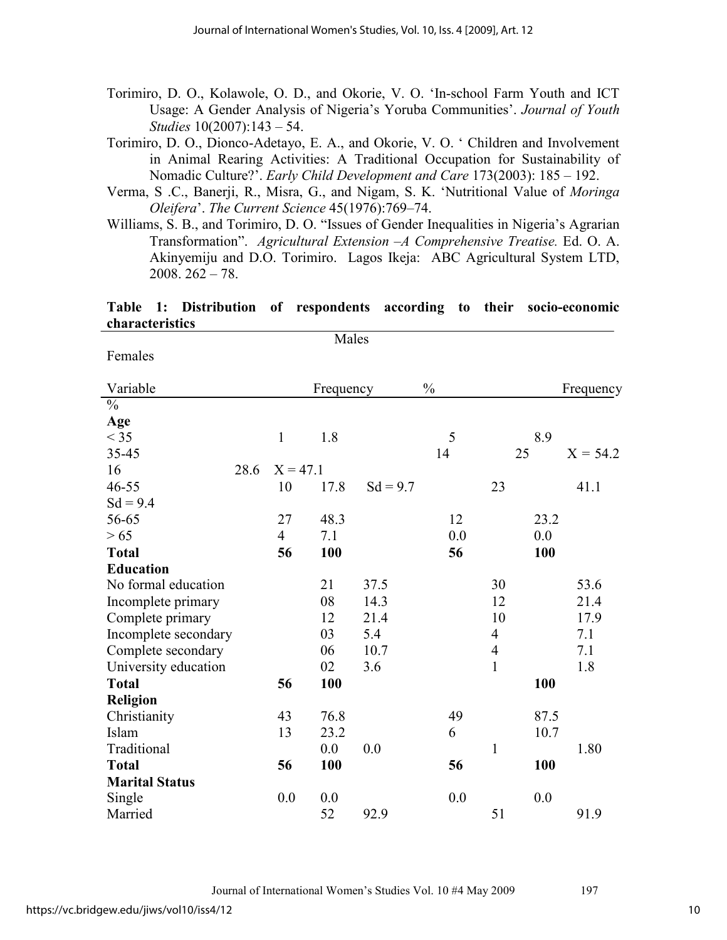Torimiro, D. O., Kolawole, O. D., and Okorie, V. O. 'In-school Farm Youth and ICT Usage: A Gender Analysis of Nigeria's Yoruba Communities'. *Journal of Youth Studies* 10(2007):143 – 54.

Torimiro, D. O., Dionco-Adetayo, E. A., and Okorie, V. O. ' Children and Involvement in Animal Rearing Activities: A Traditional Occupation for Sustainability of Nomadic Culture?'. *Early Child Development and Care* 173(2003): 185 – 192.

Verma, S .C., Banerji, R., Misra, G., and Nigam, S. K. 'Nutritional Value of *Moringa Oleifera*'. *The Current Science* 45(1976):769–74.

Williams, S. B., and Torimiro, D. O. "Issues of Gender Inequalities in Nigeria's Agrarian Transformation". *Agricultural Extension –A Comprehensive Treatise.* Ed. O. A. Akinyemiju and D.O. Torimiro. Lagos Ikeja: ABC Agricultural System LTD,  $2008. 262 - 78.$ 

#### **Table 1: Distribution of respondents according to their socio-economic characteristics** Males

Females

| Variable                 |      |                | Frequency |            | $\frac{0}{0}$ |                |      | Frequency  |
|--------------------------|------|----------------|-----------|------------|---------------|----------------|------|------------|
| $\overline{\frac{0}{0}}$ |      |                |           |            |               |                |      |            |
| Age                      |      |                |           |            |               |                |      |            |
| $<$ 35                   |      | $\mathbf{1}$   | 1.8       |            | 5             |                | 8.9  |            |
| 35-45                    |      |                |           |            | 14            |                | 25   | $X = 54.2$ |
| 16                       | 28.6 | $X = 47.1$     |           |            |               |                |      |            |
| $46 - 55$                |      | 10             | 17.8      | $Sd = 9.7$ |               | 23             |      | 41.1       |
| $Sd = 9.4$               |      |                |           |            |               |                |      |            |
| 56-65                    |      | 27             | 48.3      |            | 12            |                | 23.2 |            |
| > 65                     |      | $\overline{4}$ | 7.1       |            | 0.0           |                | 0.0  |            |
| <b>Total</b>             |      | 56             | 100       |            | 56            |                | 100  |            |
| <b>Education</b>         |      |                |           |            |               |                |      |            |
| No formal education      |      |                | 21        | 37.5       |               | 30             |      | 53.6       |
| Incomplete primary       |      |                | 08        | 14.3       |               | 12             |      | 21.4       |
| Complete primary         |      |                | 12        | 21.4       |               | 10             |      | 17.9       |
| Incomplete secondary     |      |                | 03        | 5.4        |               | $\overline{4}$ |      | 7.1        |
| Complete secondary       |      |                | 06        | 10.7       |               | $\overline{4}$ |      | 7.1        |
| University education     |      |                | 02        | 3.6        |               | $\mathbf{1}$   |      | 1.8        |
| <b>Total</b>             |      | 56             | 100       |            |               |                | 100  |            |
| <b>Religion</b>          |      |                |           |            |               |                |      |            |
| Christianity             |      | 43             | 76.8      |            | 49            |                | 87.5 |            |
| Islam                    |      | 13             | 23.2      |            | 6             |                | 10.7 |            |
| Traditional              |      |                | 0.0       | 0.0        |               | $\mathbf{1}$   |      | 1.80       |
| <b>Total</b>             |      | 56             | 100       |            | 56            |                | 100  |            |
| <b>Marital Status</b>    |      |                |           |            |               |                |      |            |
| Single                   |      | 0.0            | 0.0       |            | 0.0           |                | 0.0  |            |
| Married                  |      |                | 52        | 92.9       |               | 51             |      | 91.9       |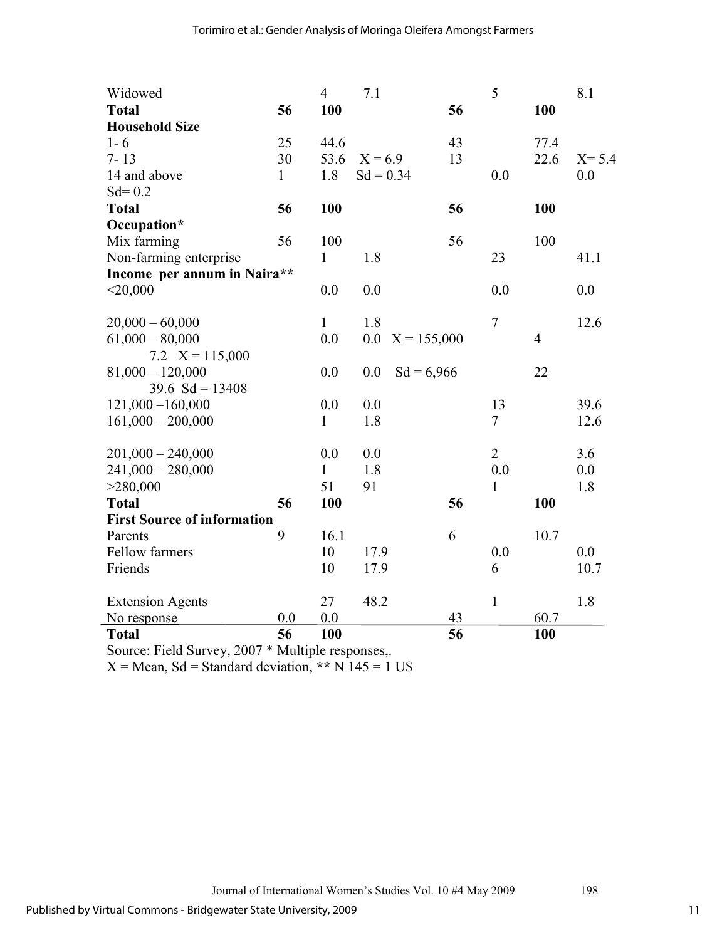| Widowed                            |              | $\overline{4}$ | 7.1                  |    | 5                |                | 8.1       |
|------------------------------------|--------------|----------------|----------------------|----|------------------|----------------|-----------|
| <b>Total</b>                       | 56           | 100            |                      | 56 |                  | 100            |           |
| <b>Household Size</b>              |              |                |                      |    |                  |                |           |
| $1 - 6$                            | 25           | 44.6           |                      | 43 |                  | 77.4           |           |
| $7 - 13$                           | 30           | 53.6           | $X = 6.9$            | 13 |                  | 22.6           | $X = 5.4$ |
| 14 and above                       | $\mathbf{1}$ | 1.8            | $Sd = 0.34$          |    | 0.0              |                | 0.0       |
| $Sd = 0.2$                         |              |                |                      |    |                  |                |           |
| <b>Total</b>                       | 56           | 100            |                      | 56 |                  | 100            |           |
| Occupation*                        |              |                |                      |    |                  |                |           |
| Mix farming                        | 56           | 100            |                      | 56 |                  | 100            |           |
| Non-farming enterprise             |              | $\mathbf{1}$   | 1.8                  |    | 23               |                | 41.1      |
| Income per annum in Naira**        |              |                |                      |    |                  |                |           |
| $<$ 20,000                         |              | 0.0            | 0.0                  |    | 0.0              |                | 0.0       |
|                                    |              |                |                      |    |                  |                |           |
| $20,000 - 60,000$                  |              | $\mathbf{1}$   | 1.8                  |    | $\boldsymbol{7}$ |                | 12.6      |
| $61,000 - 80,000$                  |              | 0.0            | 0.0<br>$X = 155,000$ |    |                  | $\overline{4}$ |           |
| 7.2 $X = 115,000$                  |              |                |                      |    |                  |                |           |
| $81,000 - 120,000$                 |              | 0.0            | $Sd = 6,966$<br>0.0  |    |                  | 22             |           |
| 39.6 $Sd = 13408$                  |              |                |                      |    |                  |                |           |
| $121,000 - 160,000$                |              | 0.0            | 0.0                  |    | 13               |                | 39.6      |
| $161,000 - 200,000$                |              | $\mathbf{1}$   | 1.8                  |    | $\tau$           |                | 12.6      |
|                                    |              |                |                      |    |                  |                |           |
| $201,000 - 240,000$                |              | 0.0            | 0.0                  |    | $\overline{2}$   |                | 3.6       |
| $241,000 - 280,000$                |              | 1              | 1.8                  |    | 0.0              |                | 0.0       |
| >280,000                           |              | 51             | 91                   |    | $\mathbf{1}$     |                | 1.8       |
| <b>Total</b>                       | 56           | 100            |                      | 56 |                  | 100            |           |
| <b>First Source of information</b> |              |                |                      |    |                  |                |           |
| Parents                            | 9            | 16.1           |                      | 6  |                  | 10.7           |           |
| <b>Fellow farmers</b>              |              | 10             | 17.9                 |    | 0.0              |                | 0.0       |
| Friends                            |              | 10             | 17.9                 |    | 6                |                | 10.7      |
|                                    |              |                |                      |    |                  |                |           |
| <b>Extension Agents</b>            |              | 27             | 48.2                 |    | $\mathbf{1}$     |                | 1.8       |
| No response                        | 0.0          | 0.0            |                      | 43 |                  | 60.7           |           |
| <b>Total</b>                       | 56           | 100            |                      | 56 |                  | 100            |           |

Source: Field Survey, 2007 \* Multiple responses,.

 $X = Mean$ ,  $Sd = Standard deviation$ , **\*\***  $N 145 = 1 US$ 

11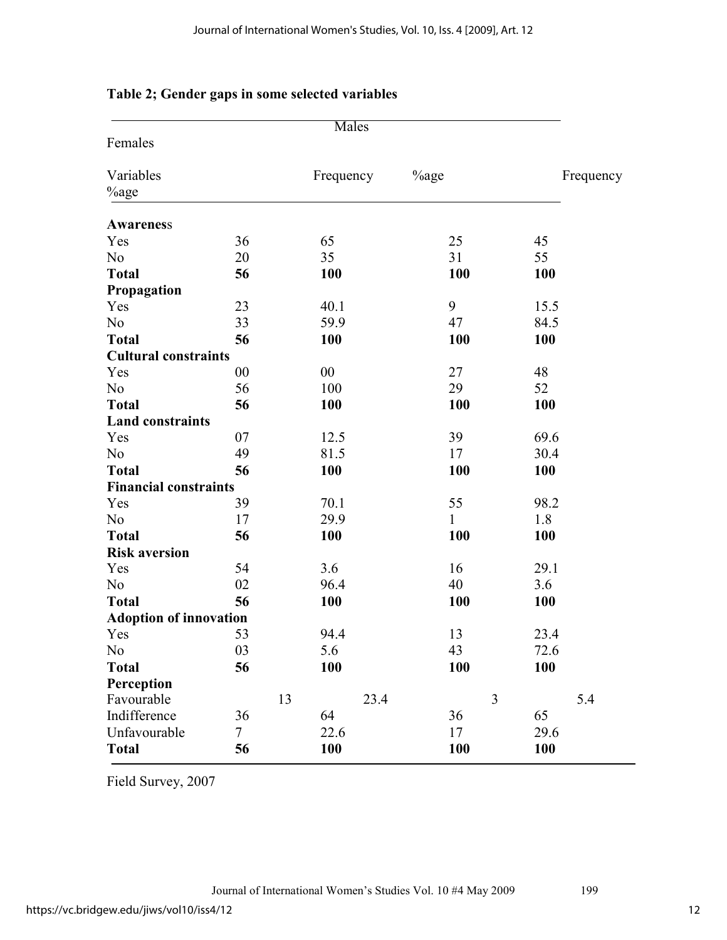|                               |                |    | <b>Males</b> |                  |              |   |            |           |
|-------------------------------|----------------|----|--------------|------------------|--------------|---|------------|-----------|
| Females                       |                |    |              |                  |              |   |            |           |
| Variables<br><sup>%</sup> age |                |    | Frequency    | <sup>%</sup> age |              |   |            | Frequency |
| Awareness                     |                |    |              |                  |              |   |            |           |
| Yes                           | 36             |    | 65           |                  | 25           |   | 45         |           |
| N <sub>o</sub>                | 20             |    | 35           |                  | 31           |   | 55         |           |
| <b>Total</b>                  | 56             |    | <b>100</b>   |                  | <b>100</b>   |   | <b>100</b> |           |
| Propagation                   |                |    |              |                  |              |   |            |           |
| Yes                           | 23             |    | 40.1         |                  | 9            |   | 15.5       |           |
| N <sub>o</sub>                | 33             |    | 59.9         |                  | 47           |   | 84.5       |           |
| <b>Total</b>                  | 56             |    | 100          |                  | 100          |   | 100        |           |
| <b>Cultural constraints</b>   |                |    |              |                  |              |   |            |           |
| Yes                           | 00             |    | 00           |                  | 27           |   | 48         |           |
| N <sub>o</sub>                | 56             |    | 100          |                  | 29           |   | 52         |           |
| <b>Total</b>                  | 56             |    | 100          |                  | 100          |   | 100        |           |
| <b>Land constraints</b>       |                |    |              |                  |              |   |            |           |
| Yes                           | 07             |    | 12.5         |                  | 39           |   | 69.6       |           |
| N <sub>0</sub>                | 49             |    | 81.5         |                  | 17           |   | 30.4       |           |
| <b>Total</b>                  | 56             |    | 100          |                  | 100          |   | 100        |           |
| <b>Financial constraints</b>  |                |    |              |                  |              |   |            |           |
| Yes                           | 39             |    | 70.1         |                  | 55           |   | 98.2       |           |
| N <sub>0</sub>                | 17             |    | 29.9         |                  | $\mathbf{1}$ |   | 1.8        |           |
| <b>Total</b>                  | 56             |    | 100          |                  | 100          |   | <b>100</b> |           |
| <b>Risk aversion</b>          |                |    |              |                  |              |   |            |           |
| Yes                           | 54             |    | 3.6          |                  | 16           |   | 29.1       |           |
| N <sub>o</sub>                | 02             |    | 96.4         |                  | 40           |   | 3.6        |           |
| <b>Total</b>                  | 56             |    | <b>100</b>   |                  | 100          |   | <b>100</b> |           |
| <b>Adoption of innovation</b> |                |    |              |                  |              |   |            |           |
| Yes                           | 53             |    | 94.4         |                  | 13           |   | 23.4       |           |
| N <sub>0</sub>                | 03             |    | 5.6          |                  | 43           |   | 72.6       |           |
| <b>Total</b>                  | 56             |    | <b>100</b>   |                  | <b>100</b>   |   | <b>100</b> |           |
| Perception                    |                |    |              |                  |              |   |            |           |
| Favourable                    |                | 13 |              | 23.4             |              | 3 |            | 5.4       |
| Indifference                  | 36             |    | 64           |                  | 36           |   | 65         |           |
| Unfavourable                  | $\overline{7}$ |    | 22.6         |                  | 17           |   | 29.6       |           |
| <b>Total</b>                  | 56             |    | 100          |                  | 100          |   | 100        |           |

## **Table 2; Gender gaps in some selected variables**

Field Survey, 2007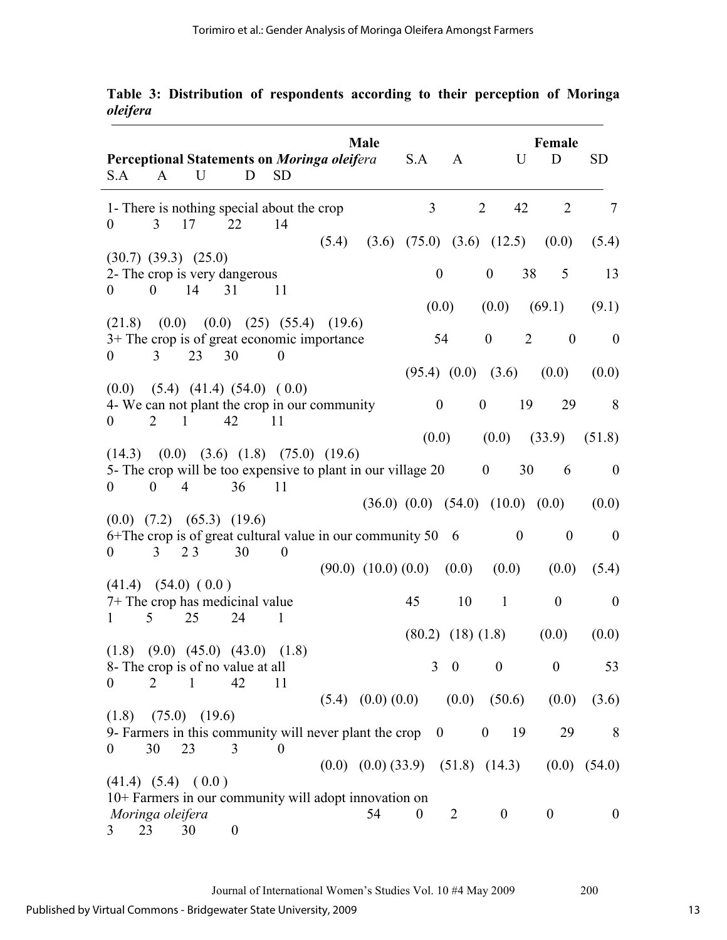| S.A                    | A                | U                                | Perceptional Statements on Moringa oleifera<br>D                                                                         | <b>SD</b>        |        | Male                                       |                  | S.A A                    |                  | <b>Female</b><br>U<br>D                    | <b>SD</b>        |
|------------------------|------------------|----------------------------------|--------------------------------------------------------------------------------------------------------------------------|------------------|--------|--------------------------------------------|------------------|--------------------------|------------------|--------------------------------------------|------------------|
| $\overline{0}$         | $\mathfrak{Z}$   | 17                               | 1- There is nothing special about the crop<br>22                                                                         | 14               |        |                                            | $\overline{3}$   |                          | 2                | 42<br>$\overline{2}$                       | $\tau$           |
|                        |                  |                                  |                                                                                                                          |                  | (5.4)  |                                            |                  |                          |                  | $(3.6)$ $(75.0)$ $(3.6)$ $(12.5)$ $(0.0)$  | (5.4)            |
| $\overline{0}$         | $\theta$         | $(30.7)$ $(39.3)$ $(25.0)$<br>14 | 2- The crop is very dangerous<br>31                                                                                      | 11               |        |                                            |                  | $\boldsymbol{0}$         | $\boldsymbol{0}$ | 5<br>38                                    | 13               |
|                        |                  |                                  |                                                                                                                          |                  |        |                                            |                  | (0.0)                    | (0.0)            | (69.1)                                     | (9.1)            |
| (21.8)<br>$\mathbf{0}$ | 3                | 23                               | $(0.0)$ $(0.0)$ $(25)$ $(55.4)$<br>3+ The crop is of great economic importance<br>30                                     | $\boldsymbol{0}$ | (19.6) |                                            |                  | 54                       | $\mathbf{0}$     | 2<br>$\boldsymbol{0}$                      | $\overline{0}$   |
|                        |                  |                                  |                                                                                                                          |                  |        |                                            |                  | $(95.4)$ $(0.0)$ $(3.6)$ |                  | (0.0)                                      | (0.0)            |
| $\theta$               | 2                | $\overline{1}$                   | $(0.0)$ $(5.4)$ $(41.4)$ $(54.0)$ $(0.0)$<br>4- We can not plant the crop in our community<br>42                         | 11               |        |                                            |                  | $\boldsymbol{0}$         | $\boldsymbol{0}$ | 19<br>29                                   | 8                |
|                        |                  |                                  |                                                                                                                          |                  |        |                                            |                  | (0.0)                    |                  | $(0.0)$ $(33.9)$                           | (51.8)           |
| $\theta$               | $\boldsymbol{0}$ | $\overline{4}$                   | $(14.3)$ $(0.0)$ $(3.6)$ $(1.8)$ $(75.0)$ $(19.6)$<br>5- The crop will be too expensive to plant in our village 20<br>36 | 11               |        |                                            |                  |                          | $\boldsymbol{0}$ | 30<br>6                                    | $\mathbf{0}$     |
|                        |                  |                                  |                                                                                                                          |                  |        |                                            |                  |                          |                  | $(36.0)$ $(0.0)$ $(54.0)$ $(10.0)$ $(0.0)$ | (0.0)            |
| $\overline{0}$         | 3                | 23                               | $(0.0)$ $(7.2)$ $(65.3)$ $(19.6)$<br>6+The crop is of great cultural value in our community 50 6<br>30                   | $\overline{0}$   |        |                                            |                  |                          |                  | $\boldsymbol{0}$<br>$\overline{0}$         | $\mathbf{0}$     |
|                        |                  |                                  |                                                                                                                          |                  |        | $(90.0)$ $(10.0)$ $(0.0)$ $(0.0)$          |                  |                          | (0.0)            | (0.0)                                      | (5.4)            |
| 1                      | 5                | $(41.4)$ $(54.0)$ $(0.0)$<br>25  | 7+ The crop has medicinal value<br>24                                                                                    | 1                |        |                                            | 45               | 10                       | $\mathbf{1}$     | $\boldsymbol{0}$                           | $\overline{0}$   |
|                        |                  |                                  |                                                                                                                          |                  |        |                                            |                  | $(80.2)$ $(18)$ $(1.8)$  |                  | (0.0)                                      | (0.0)            |
|                        | $\overline{2}$   | $\mathbf{1}$                     | $(1.8)$ $(9.0)$ $(45.0)$ $(43.0)$ $(1.8)$<br>8- The crop is of no value at all<br>42                                     |                  |        |                                            |                  | $3 \quad 0$              | $\boldsymbol{0}$ | $\boldsymbol{0}$                           | 53               |
| $\theta$               |                  |                                  |                                                                                                                          | 11               |        | $(5.4)$ $(0.0)$ $(0.0)$ $(0.0)$ $(50.6)$   |                  |                          |                  | (0.0)                                      | (3.6)            |
| (1.8)                  |                  | $(75.0)$ $(19.6)$                | 9- Farmers in this community will never plant the crop $\theta$                                                          |                  |        |                                            |                  |                          | $\overline{0}$   | 29<br>19                                   | 8                |
| $\theta$               | 30               | 23                               | 3                                                                                                                        | $\overline{0}$   |        | $(0.0)$ $(0.0)$ $(33.9)$ $(51.8)$ $(14.3)$ |                  |                          |                  |                                            | $(0.0)$ $(54.0)$ |
| Moringa oleifera       |                  | $(41.4)$ $(5.4)$ $(0.0)$         | 10+ Farmers in our community will adopt innovation on                                                                    |                  |        | 54                                         | $\boldsymbol{0}$ | 2                        | $\boldsymbol{0}$ | $\boldsymbol{0}$                           | $\overline{0}$   |
| 3                      | 23               | 30                               | $\boldsymbol{0}$                                                                                                         |                  |        |                                            |                  |                          |                  |                                            |                  |

**Table 3: Distribution of respondents according to their perception of Moringa** *oleifera*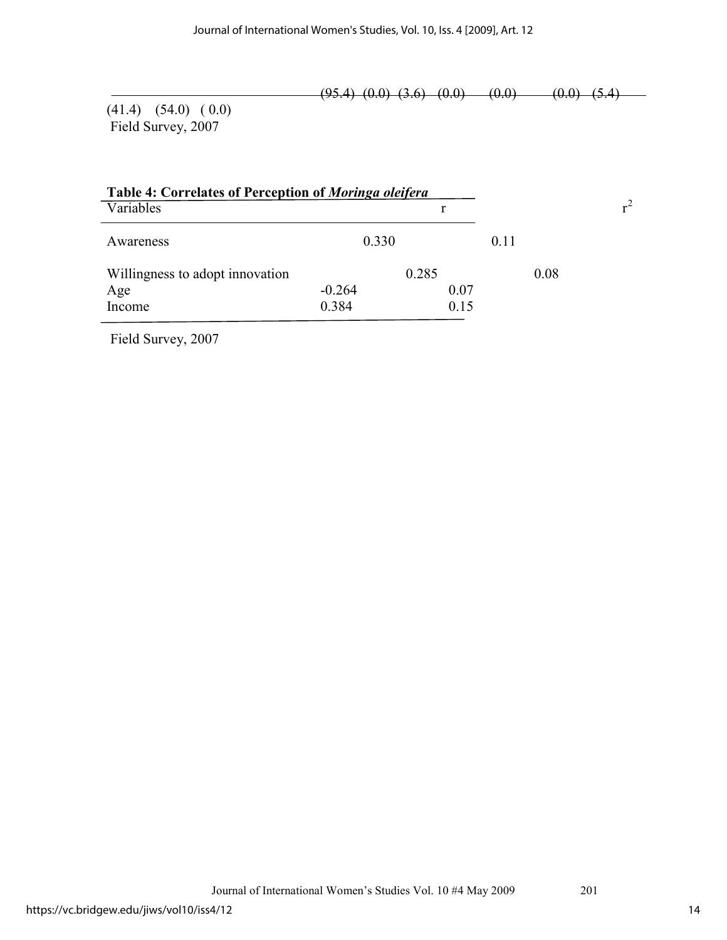$(95.4)$   $(0.0)$   $(3.6)$   $(0.0)$   $(0.0)$   $(0.0)$   $(5.4)$   $(0.0)$ 

(41.4) (54.0) ( 0.0) Field Survey, 2007

| Table 4: Correlates of Perception of Moringa oleifera |          |       |      |      |       |
|-------------------------------------------------------|----------|-------|------|------|-------|
| Variables                                             |          |       |      |      | $r^2$ |
| Awareness                                             | 0.330    |       | 0.11 |      |       |
| Willingness to adopt innovation                       |          | 0.285 |      | 0.08 |       |
| Age                                                   | $-0.264$ | 0.07  |      |      |       |
| Income                                                | 0.384    | 0.15  |      |      |       |

Field Survey, 2007